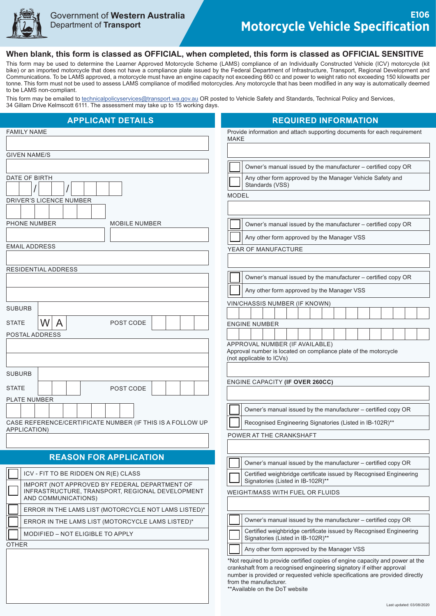

## **When blank, this form is classed as OFFICIAL, when completed, this form is classed as OFFICIAL SENSITIVE**

This form may be used to determine the Learner Approved Motorcycle Scheme (LAMS) compliance of an Individually Constructed Vehicle (ICV) motorcycle (kit bike) or an imported motorcycle that does not have a compliance plate issued by the Federal Department of Infrastructure, Transport, Regional Development and Communications. To be LAMS approved, a motorcycle must have an engine capacity not exceeding 660 cc and power to weight ratio not exceeding 150 kilowatts per tonne. This form must not be used to assess LAMS compliance of modified motorcycles. Any motorcycle that has been modified in any way is automatically deemed to be LAMS non-compliant.

This form may be emailed to [technicalpolicyservices@transport.wa.gov.au](mailto:technicalpolicyservices%40transport.wa.gov.au?subject=E106%20Motorcycle%20Vehicle%20Specification%20form) OR posted to Vehicle Safety and Standards, Technical Policy and Services, 34 Gillam Drive Kelmscott 6111. The assessment may take up to 15 working days.

| <b>APPLICANT DETAILS</b>                                                                         | <b>REQUIRED INFORMATION</b>                                                                                                                           |  |  |
|--------------------------------------------------------------------------------------------------|-------------------------------------------------------------------------------------------------------------------------------------------------------|--|--|
| <b>FAMILY NAME</b>                                                                               | Provide information and attach supporting documents for each requirement                                                                              |  |  |
|                                                                                                  | MAKE                                                                                                                                                  |  |  |
| <b>GIVEN NAME/S</b>                                                                              |                                                                                                                                                       |  |  |
|                                                                                                  | Owner's manual issued by the manufacturer - certified copy OR                                                                                         |  |  |
| DATE OF BIRTH                                                                                    | Any other form approved by the Manager Vehicle Safety and                                                                                             |  |  |
|                                                                                                  | Standards (VSS)<br><b>MODEL</b>                                                                                                                       |  |  |
| <b>DRIVER'S LICENCE NUMBER</b>                                                                   |                                                                                                                                                       |  |  |
|                                                                                                  |                                                                                                                                                       |  |  |
| PHONE NUMBER<br><b>MOBILE NUMBER</b>                                                             | Owner's manual issued by the manufacturer - certified copy OR                                                                                         |  |  |
|                                                                                                  | Any other form approved by the Manager VSS                                                                                                            |  |  |
| <b>EMAIL ADDRESS</b>                                                                             | YEAR OF MANUFACTURE                                                                                                                                   |  |  |
|                                                                                                  |                                                                                                                                                       |  |  |
| RESIDENTIAL ADDRESS                                                                              | Owner's manual issued by the manufacturer - certified copy OR                                                                                         |  |  |
|                                                                                                  | Any other form approved by the Manager VSS                                                                                                            |  |  |
|                                                                                                  | VIN/CHASSIS NUMBER (IF KNOWN)                                                                                                                         |  |  |
| <b>SUBURB</b>                                                                                    |                                                                                                                                                       |  |  |
| W<br>$\mathsf{A}$<br><b>STATE</b><br>POST CODE                                                   | <b>ENGINE NUMBER</b>                                                                                                                                  |  |  |
| POSTAL ADDRESS                                                                                   |                                                                                                                                                       |  |  |
|                                                                                                  | APPROVAL NUMBER (IF AVAILABLE)<br>Approval number is located on compliance plate of the motorcycle                                                    |  |  |
|                                                                                                  | (not applicable to ICVs)                                                                                                                              |  |  |
| <b>SUBURB</b>                                                                                    |                                                                                                                                                       |  |  |
|                                                                                                  | ENGINE CAPACITY (IF OVER 260CC)                                                                                                                       |  |  |
| <b>STATE</b><br>POST CODE<br><b>PLATE NUMBER</b>                                                 |                                                                                                                                                       |  |  |
|                                                                                                  | Owner's manual issued by the manufacturer - certified copy OR                                                                                         |  |  |
| CASE REFERENCE/CERTIFICATE NUMBER (IF THIS IS A FOLLOW UP                                        | Recognised Engineering Signatories (Listed in IB-102R)**                                                                                              |  |  |
| APPLICATION)                                                                                     | POWER AT THE CRANKSHAFT                                                                                                                               |  |  |
|                                                                                                  |                                                                                                                                                       |  |  |
| <b>REASON FOR APPLICATION</b>                                                                    |                                                                                                                                                       |  |  |
|                                                                                                  | Owner's manual issued by the manufacturer - certified copy OR                                                                                         |  |  |
| ICV - FIT TO BE RIDDEN ON R(E) CLASS                                                             | Certified weighbridge certificate issued by Recognised Engineering<br>Signatories (Listed in IB-102R)**                                               |  |  |
| IMPORT (NOT APPROVED BY FEDERAL DEPARTMENT OF<br>INFRASTRUCTURE, TRANSPORT, REGIONAL DEVELOPMENT | WEIGHT/MASS WITH FUEL OR FLUIDS                                                                                                                       |  |  |
| AND COMMUNICATIONS)                                                                              |                                                                                                                                                       |  |  |
| ERROR IN THE LAMS LIST (MOTORCYCLE NOT LAMS LISTED)*                                             |                                                                                                                                                       |  |  |
| ERROR IN THE LAMS LIST (MOTORCYCLE LAMS LISTED)*                                                 | Owner's manual issued by the manufacturer - certified copy OR                                                                                         |  |  |
| MODIFIED - NOT ELIGIBLE TO APPLY                                                                 | Certified weighbridge certificate issued by Recognised Engineering<br>Signatories (Listed in IB-102R)**                                               |  |  |
| <b>OTHER</b>                                                                                     | Any other form approved by the Manager VSS                                                                                                            |  |  |
| *Not required to provide certified copies of engine capacity and power at the                    |                                                                                                                                                       |  |  |
|                                                                                                  | crankshaft from a recognised engineering signatory if either approval<br>number is provided or requested vehicle specifications are provided directly |  |  |
|                                                                                                  | from the manufacturer.<br>**Available on the DoT website                                                                                              |  |  |
|                                                                                                  |                                                                                                                                                       |  |  |
|                                                                                                  | Last updated: 03/08/2020                                                                                                                              |  |  |